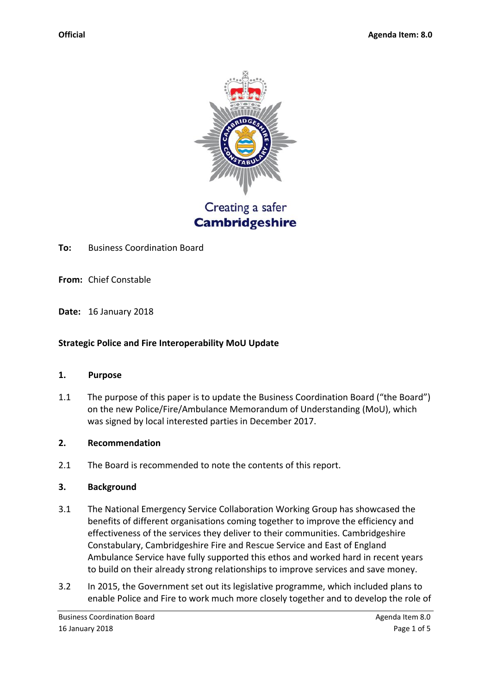

Creating a safer **Cambridgeshire** 

**To:** Business Coordination Board

**From:** Chief Constable

**Date:** 16 January 2018

## **Strategic Police and Fire Interoperability MoU Update**

#### **1. Purpose**

1.1 The purpose of this paper is to update the Business Coordination Board ("the Board") on the new Police/Fire/Ambulance Memorandum of Understanding (MoU), which was signed by local interested parties in December 2017.

## **2. Recommendation**

2.1 The Board is recommended to note the contents of this report.

## **3. Background**

- 3.1 The National Emergency Service Collaboration Working Group has showcased the benefits of different organisations coming together to improve the efficiency and effectiveness of the services they deliver to their communities. Cambridgeshire Constabulary, Cambridgeshire Fire and Rescue Service and East of England Ambulance Service have fully supported this ethos and worked hard in recent years to build on their already strong relationships to improve services and save money.
- 3.2 In 2015, the Government set out its legislative programme, which included plans to enable Police and Fire to work much more closely together and to develop the role of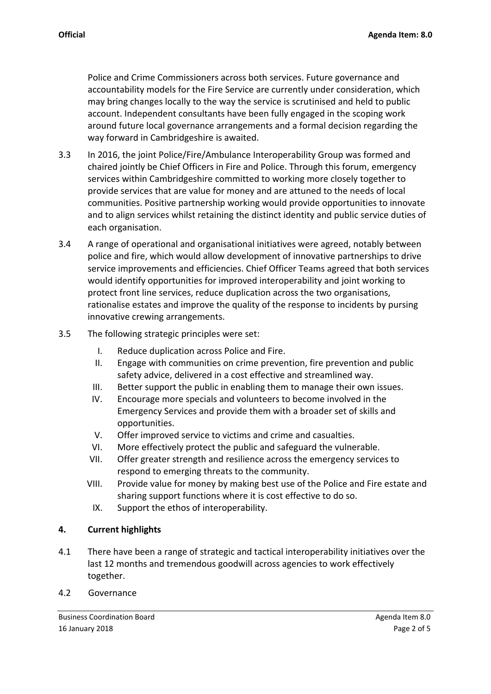Police and Crime Commissioners across both services. Future governance and accountability models for the Fire Service are currently under consideration, which may bring changes locally to the way the service is scrutinised and held to public account. Independent consultants have been fully engaged in the scoping work around future local governance arrangements and a formal decision regarding the way forward in Cambridgeshire is awaited.

- 3.3 In 2016, the joint Police/Fire/Ambulance Interoperability Group was formed and chaired jointly be Chief Officers in Fire and Police. Through this forum, emergency services within Cambridgeshire committed to working more closely together to provide services that are value for money and are attuned to the needs of local communities. Positive partnership working would provide opportunities to innovate and to align services whilst retaining the distinct identity and public service duties of each organisation.
- 3.4 A range of operational and organisational initiatives were agreed, notably between police and fire, which would allow development of innovative partnerships to drive service improvements and efficiencies. Chief Officer Teams agreed that both services would identify opportunities for improved interoperability and joint working to protect front line services, reduce duplication across the two organisations, rationalise estates and improve the quality of the response to incidents by pursing innovative crewing arrangements.
- 3.5 The following strategic principles were set:
	- I. Reduce duplication across Police and Fire.
	- II. Engage with communities on crime prevention, fire prevention and public safety advice, delivered in a cost effective and streamlined way.
	- III. Better support the public in enabling them to manage their own issues.
	- IV. Encourage more specials and volunteers to become involved in the Emergency Services and provide them with a broader set of skills and opportunities.
	- V. Offer improved service to victims and crime and casualties.
	- VI. More effectively protect the public and safeguard the vulnerable.
	- VII. Offer greater strength and resilience across the emergency services to respond to emerging threats to the community.
	- VIII. Provide value for money by making best use of the Police and Fire estate and sharing support functions where it is cost effective to do so.
		- IX. Support the ethos of interoperability.

## **4. Current highlights**

- 4.1 There have been a range of strategic and tactical interoperability initiatives over the last 12 months and tremendous goodwill across agencies to work effectively together.
- 4.2 Governance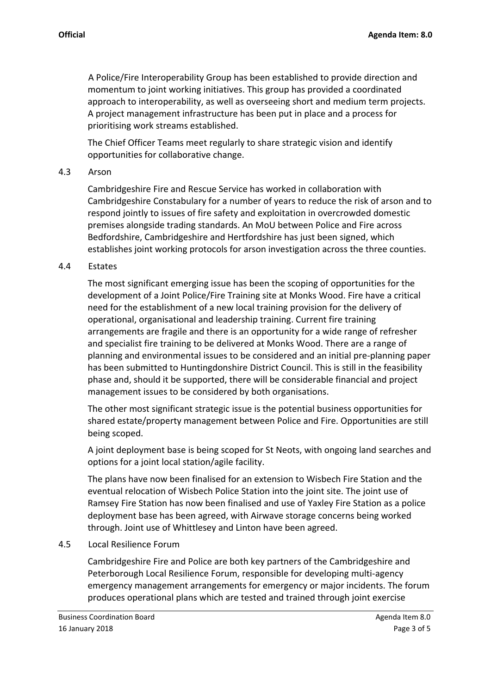A Police/Fire Interoperability Group has been established to provide direction and momentum to joint working initiatives. This group has provided a coordinated approach to interoperability, as well as overseeing short and medium term projects. A project management infrastructure has been put in place and a process for prioritising work streams established.

The Chief Officer Teams meet regularly to share strategic vision and identify opportunities for collaborative change.

#### 4.3 Arson

Cambridgeshire Fire and Rescue Service has worked in collaboration with Cambridgeshire Constabulary for a number of years to reduce the risk of arson and to respond jointly to issues of fire safety and exploitation in overcrowded domestic premises alongside trading standards. An MoU between Police and Fire across Bedfordshire, Cambridgeshire and Hertfordshire has just been signed, which establishes joint working protocols for arson investigation across the three counties.

#### 4.4 Estates

The most significant emerging issue has been the scoping of opportunities for the development of a Joint Police/Fire Training site at Monks Wood. Fire have a critical need for the establishment of a new local training provision for the delivery of operational, organisational and leadership training. Current fire training arrangements are fragile and there is an opportunity for a wide range of refresher and specialist fire training to be delivered at Monks Wood. There are a range of planning and environmental issues to be considered and an initial pre-planning paper has been submitted to Huntingdonshire District Council. This is still in the feasibility phase and, should it be supported, there will be considerable financial and project management issues to be considered by both organisations.

The other most significant strategic issue is the potential business opportunities for shared estate/property management between Police and Fire. Opportunities are still being scoped.

A joint deployment base is being scoped for St Neots, with ongoing land searches and options for a joint local station/agile facility.

The plans have now been finalised for an extension to Wisbech Fire Station and the eventual relocation of Wisbech Police Station into the joint site. The joint use of Ramsey Fire Station has now been finalised and use of Yaxley Fire Station as a police deployment base has been agreed, with Airwave storage concerns being worked through. Joint use of Whittlesey and Linton have been agreed.

## 4.5 Local Resilience Forum

Cambridgeshire Fire and Police are both key partners of the Cambridgeshire and Peterborough Local Resilience Forum, responsible for developing multi-agency emergency management arrangements for emergency or major incidents. The forum produces operational plans which are tested and trained through joint exercise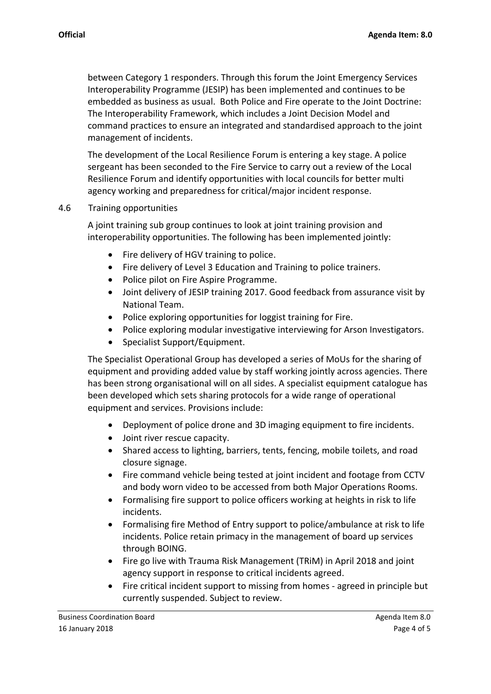between Category 1 responders. Through this forum the Joint Emergency Services Interoperability Programme (JESIP) has been implemented and continues to be embedded as business as usual. Both Police and Fire operate to the Joint Doctrine: The Interoperability Framework, which includes a Joint Decision Model and command practices to ensure an integrated and standardised approach to the joint management of incidents.

The development of the Local Resilience Forum is entering a key stage. A police sergeant has been seconded to the Fire Service to carry out a review of the Local Resilience Forum and identify opportunities with local councils for better multi agency working and preparedness for critical/major incident response.

## 4.6 Training opportunities

A joint training sub group continues to look at joint training provision and interoperability opportunities. The following has been implemented jointly:

- Fire delivery of HGV training to police.
- Fire delivery of Level 3 Education and Training to police trainers.
- Police pilot on Fire Aspire Programme.
- Joint delivery of JESIP training 2017. Good feedback from assurance visit by National Team.
- Police exploring opportunities for loggist training for Fire.
- Police exploring modular investigative interviewing for Arson Investigators.
- Specialist Support/Equipment.

The Specialist Operational Group has developed a series of MoUs for the sharing of equipment and providing added value by staff working jointly across agencies. There has been strong organisational will on all sides. A specialist equipment catalogue has been developed which sets sharing protocols for a wide range of operational equipment and services. Provisions include:

- Deployment of police drone and 3D imaging equipment to fire incidents.
- Joint river rescue capacity.
- Shared access to lighting, barriers, tents, fencing, mobile toilets, and road closure signage.
- Fire command vehicle being tested at joint incident and footage from CCTV and body worn video to be accessed from both Major Operations Rooms.
- Formalising fire support to police officers working at heights in risk to life incidents.
- Formalising fire Method of Entry support to police/ambulance at risk to life incidents. Police retain primacy in the management of board up services through BOING.
- Fire go live with Trauma Risk Management (TRIM) in April 2018 and joint agency support in response to critical incidents agreed.
- Fire critical incident support to missing from homes agreed in principle but currently suspended. Subject to review.